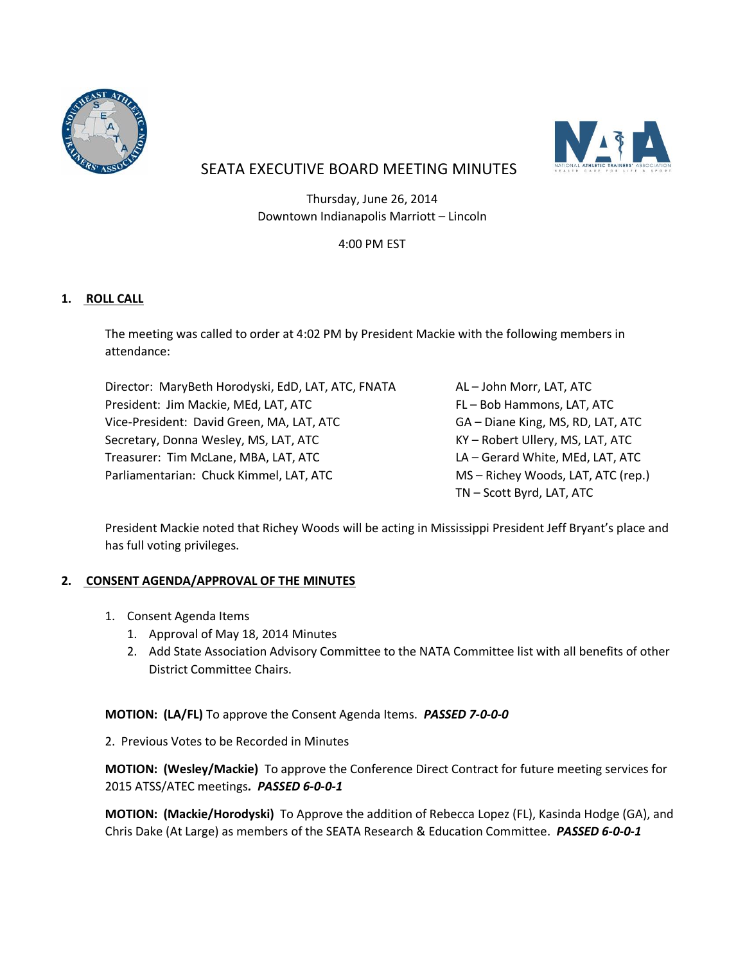



# SEATA EXECUTIVE BOARD MEETING MINUTES

Thursday, June 26, 2014 Downtown Indianapolis Marriott – Lincoln

# 4:00 PM EST

# **1. ROLL CALL**

The meeting was called to order at 4:02 PM by President Mackie with the following members in attendance:

Director: MaryBeth Horodyski, EdD, LAT, ATC, FNATA AL-John Morr, LAT, ATC President: Jim Mackie, MEd, LAT, ATC FL – Bob Hammons, LAT, ATC Vice-President: David Green, MA, LAT, ATC GA – Diane King, MS, RD, LAT, ATC Secretary, Donna Wesley, MS, LAT, ATC KY AND THE Robert Ullery, MS, LAT, ATC Treasurer: Tim McLane, MBA, LAT, ATC LA – Gerard White, MEd, LAT, ATC Parliamentarian: Chuck Kimmel, LAT, ATC MS – Richey Woods, LAT, ATC (rep.)

TN – Scott Byrd, LAT, ATC

President Mackie noted that Richey Woods will be acting in Mississippi President Jeff Bryant's place and has full voting privileges.

# **2. CONSENT AGENDA/APPROVAL OF THE MINUTES**

- 1. Consent Agenda Items
	- 1. Approval of May 18, 2014 Minutes
	- 2. Add State Association Advisory Committee to the NATA Committee list with all benefits of other District Committee Chairs.

**MOTION: (LA/FL)** To approve the Consent Agenda Items. *PASSED 7-0-0-0*

2. Previous Votes to be Recorded in Minutes

**MOTION: (Wesley/Mackie)** To approve the Conference Direct Contract for future meeting services for 2015 ATSS/ATEC meetings*. PASSED 6-0-0-1*

**MOTION: (Mackie/Horodyski)** To Approve the addition of Rebecca Lopez (FL), Kasinda Hodge (GA), and Chris Dake (At Large) as members of the SEATA Research & Education Committee. *PASSED 6-0-0-1*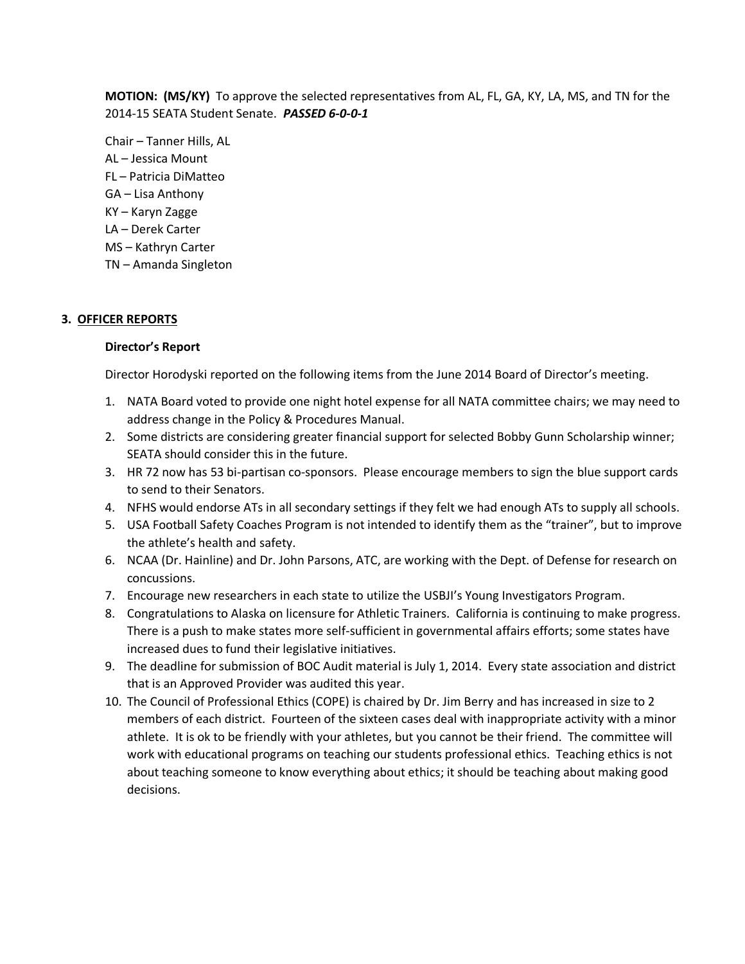**MOTION: (MS/KY)** To approve the selected representatives from AL, FL, GA, KY, LA, MS, and TN for the 2014-15 SEATA Student Senate. *PASSED 6-0-0-1*

Chair – Tanner Hills, AL AL – Jessica Mount FL – Patricia DiMatteo GA – Lisa Anthony KY – Karyn Zagge LA – Derek Carter MS – Kathryn Carter TN – Amanda Singleton

## **3. OFFICER REPORTS**

#### **Director's Report**

Director Horodyski reported on the following items from the June 2014 Board of Director's meeting.

- 1. NATA Board voted to provide one night hotel expense for all NATA committee chairs; we may need to address change in the Policy & Procedures Manual.
- 2. Some districts are considering greater financial support for selected Bobby Gunn Scholarship winner; SEATA should consider this in the future.
- 3. HR 72 now has 53 bi-partisan co-sponsors. Please encourage members to sign the blue support cards to send to their Senators.
- 4. NFHS would endorse ATs in all secondary settings if they felt we had enough ATs to supply all schools.
- 5. USA Football Safety Coaches Program is not intended to identify them as the "trainer", but to improve the athlete's health and safety.
- 6. NCAA (Dr. Hainline) and Dr. John Parsons, ATC, are working with the Dept. of Defense for research on concussions.
- 7. Encourage new researchers in each state to utilize the USBJI's Young Investigators Program.
- 8. Congratulations to Alaska on licensure for Athletic Trainers. California is continuing to make progress. There is a push to make states more self-sufficient in governmental affairs efforts; some states have increased dues to fund their legislative initiatives.
- 9. The deadline for submission of BOC Audit material is July 1, 2014. Every state association and district that is an Approved Provider was audited this year.
- 10. The Council of Professional Ethics (COPE) is chaired by Dr. Jim Berry and has increased in size to 2 members of each district. Fourteen of the sixteen cases deal with inappropriate activity with a minor athlete. It is ok to be friendly with your athletes, but you cannot be their friend. The committee will work with educational programs on teaching our students professional ethics. Teaching ethics is not about teaching someone to know everything about ethics; it should be teaching about making good decisions.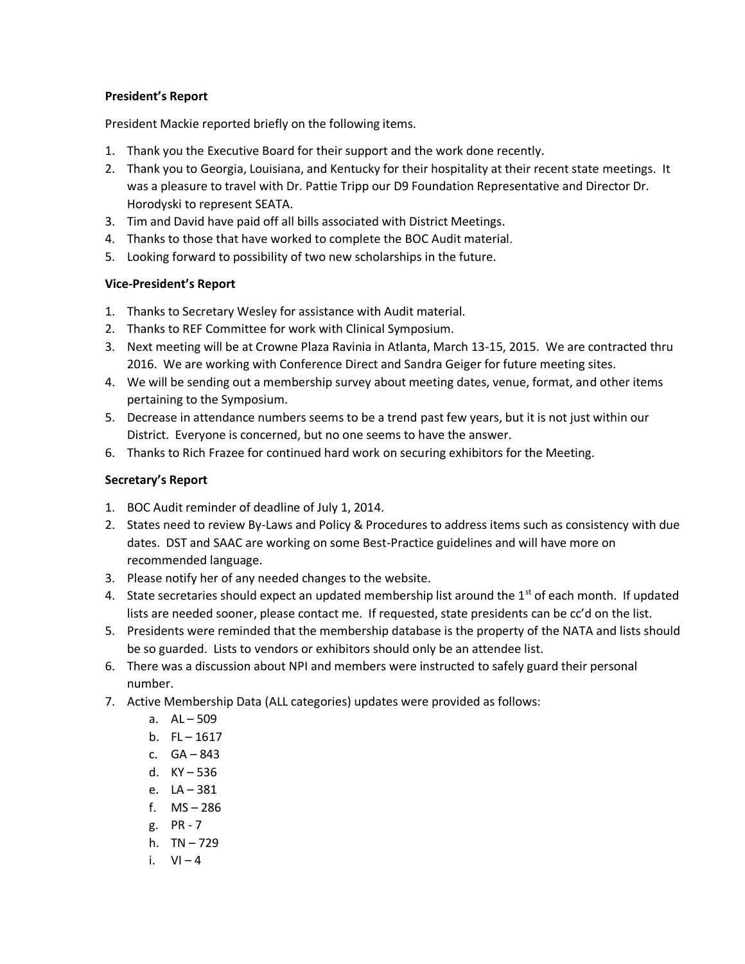## **President's Report**

President Mackie reported briefly on the following items.

- 1. Thank you the Executive Board for their support and the work done recently.
- 2. Thank you to Georgia, Louisiana, and Kentucky for their hospitality at their recent state meetings. It was a pleasure to travel with Dr. Pattie Tripp our D9 Foundation Representative and Director Dr. Horodyski to represent SEATA.
- 3. Tim and David have paid off all bills associated with District Meetings.
- 4. Thanks to those that have worked to complete the BOC Audit material.
- 5. Looking forward to possibility of two new scholarships in the future.

## **Vice-President's Report**

- 1. Thanks to Secretary Wesley for assistance with Audit material.
- 2. Thanks to REF Committee for work with Clinical Symposium.
- 3. Next meeting will be at Crowne Plaza Ravinia in Atlanta, March 13-15, 2015. We are contracted thru 2016. We are working with Conference Direct and Sandra Geiger for future meeting sites.
- 4. We will be sending out a membership survey about meeting dates, venue, format, and other items pertaining to the Symposium.
- 5. Decrease in attendance numbers seems to be a trend past few years, but it is not just within our District. Everyone is concerned, but no one seems to have the answer.
- 6. Thanks to Rich Frazee for continued hard work on securing exhibitors for the Meeting.

# **Secretary's Report**

- 1. BOC Audit reminder of deadline of July 1, 2014.
- 2. States need to review By-Laws and Policy & Procedures to address items such as consistency with due dates. DST and SAAC are working on some Best-Practice guidelines and will have more on recommended language.
- 3. Please notify her of any needed changes to the website.
- 4. State secretaries should expect an updated membership list around the  $1<sup>st</sup>$  of each month. If updated lists are needed sooner, please contact me. If requested, state presidents can be cc'd on the list.
- 5. Presidents were reminded that the membership database is the property of the NATA and lists should be so guarded. Lists to vendors or exhibitors should only be an attendee list.
- 6. There was a discussion about NPI and members were instructed to safely guard their personal number.
- 7. Active Membership Data (ALL categories) updates were provided as follows:
	- a. AL 509
	- b.  $FL 1617$
	- c. GA 843
	- d. KY 536
	- e. LA 381
	- f. MS 286
	- g. PR 7
	- h. TN 729
	- i.  $VI 4$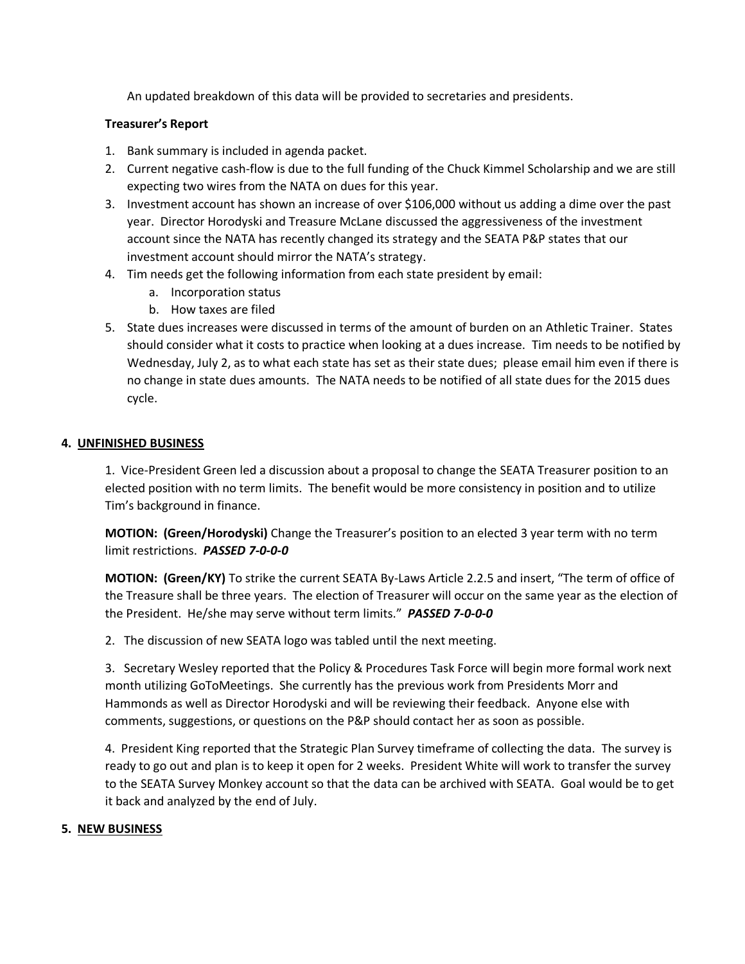An updated breakdown of this data will be provided to secretaries and presidents.

## **Treasurer's Report**

- 1. Bank summary is included in agenda packet.
- 2. Current negative cash-flow is due to the full funding of the Chuck Kimmel Scholarship and we are still expecting two wires from the NATA on dues for this year.
- 3. Investment account has shown an increase of over \$106,000 without us adding a dime over the past year. Director Horodyski and Treasure McLane discussed the aggressiveness of the investment account since the NATA has recently changed its strategy and the SEATA P&P states that our investment account should mirror the NATA's strategy.
- 4. Tim needs get the following information from each state president by email:
	- a. Incorporation status
	- b. How taxes are filed
- 5. State dues increases were discussed in terms of the amount of burden on an Athletic Trainer. States should consider what it costs to practice when looking at a dues increase. Tim needs to be notified by Wednesday, July 2, as to what each state has set as their state dues; please email him even if there is no change in state dues amounts. The NATA needs to be notified of all state dues for the 2015 dues cycle.

## **4. UNFINISHED BUSINESS**

1. Vice-President Green led a discussion about a proposal to change the SEATA Treasurer position to an elected position with no term limits. The benefit would be more consistency in position and to utilize Tim's background in finance.

**MOTION: (Green/Horodyski)** Change the Treasurer's position to an elected 3 year term with no term limit restrictions. *PASSED 7-0-0-0*

**MOTION: (Green/KY)** To strike the current SEATA By-Laws Article 2.2.5 and insert, "The term of office of the Treasure shall be three years. The election of Treasurer will occur on the same year as the election of the President. He/she may serve without term limits." *PASSED 7-0-0-0*

2. The discussion of new SEATA logo was tabled until the next meeting.

3. Secretary Wesley reported that the Policy & Procedures Task Force will begin more formal work next month utilizing GoToMeetings. She currently has the previous work from Presidents Morr and Hammonds as well as Director Horodyski and will be reviewing their feedback. Anyone else with comments, suggestions, or questions on the P&P should contact her as soon as possible.

4. President King reported that the Strategic Plan Survey timeframe of collecting the data. The survey is ready to go out and plan is to keep it open for 2 weeks. President White will work to transfer the survey to the SEATA Survey Monkey account so that the data can be archived with SEATA. Goal would be to get it back and analyzed by the end of July.

## **5. NEW BUSINESS**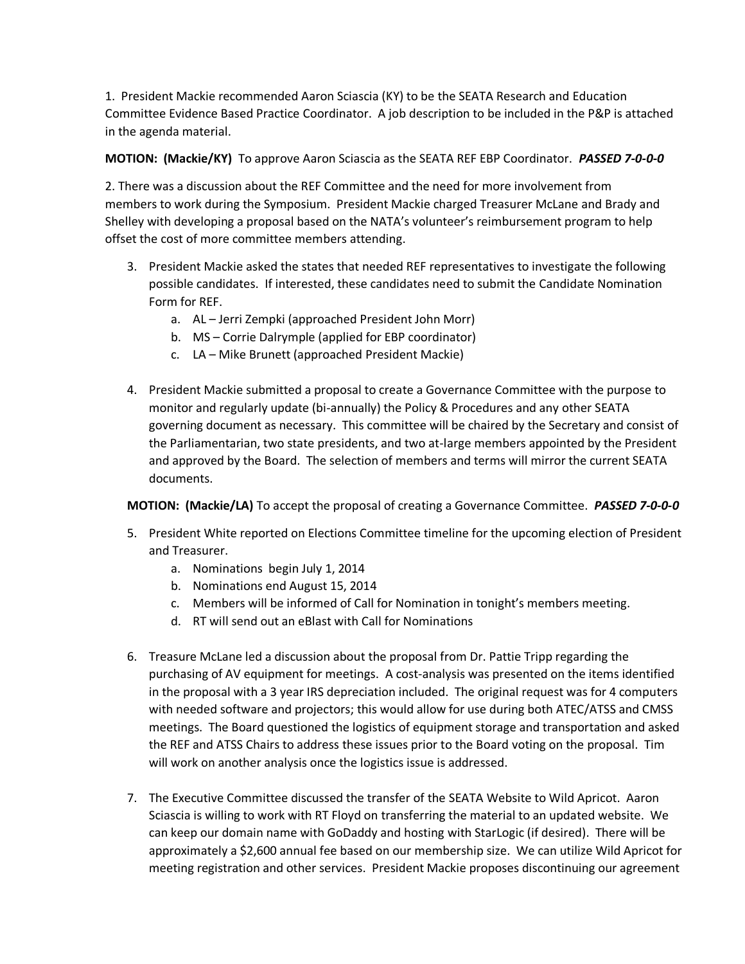1. President Mackie recommended Aaron Sciascia (KY) to be the SEATA Research and Education Committee Evidence Based Practice Coordinator. A job description to be included in the P&P is attached in the agenda material.

## **MOTION: (Mackie/KY)** To approve Aaron Sciascia as the SEATA REF EBP Coordinator. *PASSED 7-0-0-0*

2. There was a discussion about the REF Committee and the need for more involvement from members to work during the Symposium. President Mackie charged Treasurer McLane and Brady and Shelley with developing a proposal based on the NATA's volunteer's reimbursement program to help offset the cost of more committee members attending.

- 3. President Mackie asked the states that needed REF representatives to investigate the following possible candidates. If interested, these candidates need to submit the Candidate Nomination Form for REF.
	- a. AL Jerri Zempki (approached President John Morr)
	- b. MS Corrie Dalrymple (applied for EBP coordinator)
	- c. LA Mike Brunett (approached President Mackie)
- 4. President Mackie submitted a proposal to create a Governance Committee with the purpose to monitor and regularly update (bi-annually) the Policy & Procedures and any other SEATA governing document as necessary. This committee will be chaired by the Secretary and consist of the Parliamentarian, two state presidents, and two at-large members appointed by the President and approved by the Board. The selection of members and terms will mirror the current SEATA documents.

**MOTION: (Mackie/LA)** To accept the proposal of creating a Governance Committee. *PASSED 7-0-0-0*

- 5. President White reported on Elections Committee timeline for the upcoming election of President and Treasurer.
	- a. Nominations begin July 1, 2014
	- b. Nominations end August 15, 2014
	- c. Members will be informed of Call for Nomination in tonight's members meeting.
	- d. RT will send out an eBlast with Call for Nominations
- 6. Treasure McLane led a discussion about the proposal from Dr. Pattie Tripp regarding the purchasing of AV equipment for meetings. A cost-analysis was presented on the items identified in the proposal with a 3 year IRS depreciation included. The original request was for 4 computers with needed software and projectors; this would allow for use during both ATEC/ATSS and CMSS meetings. The Board questioned the logistics of equipment storage and transportation and asked the REF and ATSS Chairs to address these issues prior to the Board voting on the proposal. Tim will work on another analysis once the logistics issue is addressed.
- 7. The Executive Committee discussed the transfer of the SEATA Website to Wild Apricot. Aaron Sciascia is willing to work with RT Floyd on transferring the material to an updated website. We can keep our domain name with GoDaddy and hosting with StarLogic (if desired). There will be approximately a \$2,600 annual fee based on our membership size. We can utilize Wild Apricot for meeting registration and other services. President Mackie proposes discontinuing our agreement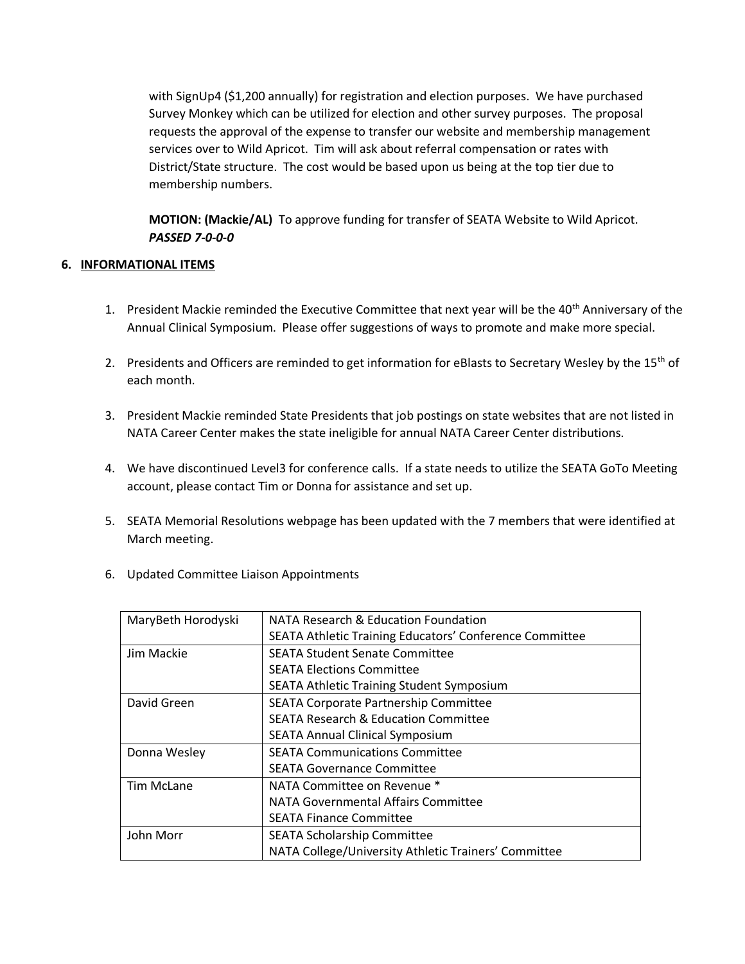with SignUp4 (\$1,200 annually) for registration and election purposes. We have purchased Survey Monkey which can be utilized for election and other survey purposes. The proposal requests the approval of the expense to transfer our website and membership management services over to Wild Apricot. Tim will ask about referral compensation or rates with District/State structure. The cost would be based upon us being at the top tier due to membership numbers.

**MOTION: (Mackie/AL)** To approve funding for transfer of SEATA Website to Wild Apricot. *PASSED 7-0-0-0*

## **6. INFORMATIONAL ITEMS**

- 1. President Mackie reminded the Executive Committee that next year will be the 40<sup>th</sup> Anniversary of the Annual Clinical Symposium. Please offer suggestions of ways to promote and make more special.
- 2. Presidents and Officers are reminded to get information for eBlasts to Secretary Wesley by the 15<sup>th</sup> of each month.
- 3. President Mackie reminded State Presidents that job postings on state websites that are not listed in NATA Career Center makes the state ineligible for annual NATA Career Center distributions.
- 4. We have discontinued Level3 for conference calls. If a state needs to utilize the SEATA GoTo Meeting account, please contact Tim or Donna for assistance and set up.
- 5. SEATA Memorial Resolutions webpage has been updated with the 7 members that were identified at March meeting.
- 6. Updated Committee Liaison Appointments

| MaryBeth Horodyski | NATA Research & Education Foundation                    |
|--------------------|---------------------------------------------------------|
|                    | SEATA Athletic Training Educators' Conference Committee |
| Jim Mackie         | <b>SEATA Student Senate Committee</b>                   |
|                    | <b>SEATA Elections Committee</b>                        |
|                    | <b>SEATA Athletic Training Student Symposium</b>        |
| David Green        | SEATA Corporate Partnership Committee                   |
|                    | <b>SEATA Research &amp; Education Committee</b>         |
|                    | <b>SEATA Annual Clinical Symposium</b>                  |
| Donna Wesley       | <b>SEATA Communications Committee</b>                   |
|                    | <b>SEATA Governance Committee</b>                       |
| <b>Tim McLane</b>  | NATA Committee on Revenue *                             |
|                    | NATA Governmental Affairs Committee                     |
|                    | <b>SEATA Finance Committee</b>                          |
| John Morr          | <b>SEATA Scholarship Committee</b>                      |
|                    | NATA College/University Athletic Trainers' Committee    |